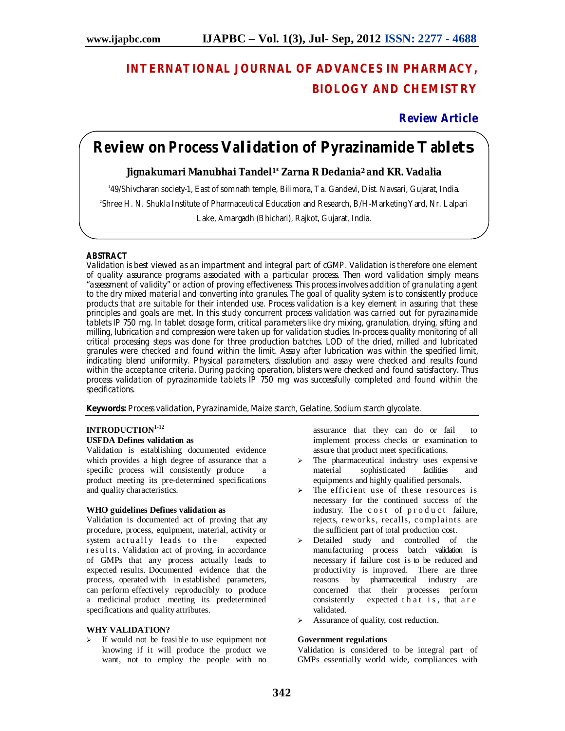# **INTERNATIONAL JOURNAL OF ADVANCES IN PHARMACY, BIOLOGY AND CHEMISTRY**

## **Review Article**

# **Review on Process Validation of Pyrazinamide Tablets**

## **Jignakumari Manubhai Tandel1\* Zarna R Dedania<sup>2</sup> and KR. Vadalia**

1 49/Shivcharan society-1, East of somnath temple, Bilimora, Ta. Gandevi, Dist. Navsari, Gujarat, India. 2 Shree H. N. Shukla Institute of Pharmaceutical Education and Research, B/H-Marketing Yard, Nr. Lalpari Lake, Amargadh (Bhichari), Rajkot, Gujarat, India.

## **ABSTRACT**

Validation is best viewed as an impartment and integral part of cGMP. Validation is therefore one element of quality assurance programs associated with a particular process. Then word validation simply means "assessment of validity" or action of proving effectiveness. This process involves addition of granulating agent to the dry mixed material and converting into granules. The goal of quality system is to consistently produce products that are suitable for their intended use. Process validation is a key element in assuring that these principles and goals are met. In this study concurrent process validation was carried out for pyrazinamide tablets IP 750 mg. In tablet dosage form, critical parameters like dry mixing, granulation, drying, sifting and milling, lubrication and compression were taken up for validation studies. In-process quality monitoring of all critical processing steps was done for three production batches. LOD of the dried, milled and lubricated granules were checked and found within the limit. Assay after lubrication was within the specified limit, indicating blend uniformity. Physical parameters, dissolution and assay were checked and results found within the acceptance criteria. During packing operation, blisters were checked and found satisfactory. Thus process validation of pyrazinamide tablets IP 750 mg was successfully completed and found within the specifications.

**Keywords:** Process validation, Pyrazinamide, Maize starch, Gelatine, Sodium starch glycolate.

# **INTRODUCTION 1-12**

## **USFDA Defines validation as**

Validation is establishing documented evidence which provides a high degree of assurance that a specific process will consistently produce a product meeting its pre-determined specifications and quality characteristics.

## **WHO guidelines Defines validation as**

Validation is documented act of proving that any procedure, process, equipment, material, activity or system actually leads to the expected results. Validation act of proving, in accordance of GMPs that any process actually leads to expected results. Documented evidence that the process, operated with in established parameters, can perform effectively reproducibly to produce a medicinal product meeting its predetermined specifications and quality attributes.

#### **WHY VALIDATION?**

 $\triangleright$  If would not be feasible to use equipment not knowing if it will produce the product we want, not to employ the people with no

assurance that they can do or fail to implement process checks or examination to assure that product meet specifications.

- $\geq$  The pharmaceutical industry uses expensive material sophisticated facilities and equipments and highly qualified personals.
- The efficient use of these resources is necessary for the continued success of the industry. The cost of product failure, rejects, reworks, recalls, complaints are the sufficient part of total production cost.
- > Detailed study and controlled of the manufacturing process batch validation is necessary if failure cost is to be reduced and productivity is improved. There are three reasons by pharmaceutical industry are concerned that their processes perform consistently expected  $\bar{t}$  h at is, that a r e validated.
- > Assurance of quality, cost reduction.

#### **Government regulations**

Validation is considered to be integral part of GMPs essentially world wide, compliances with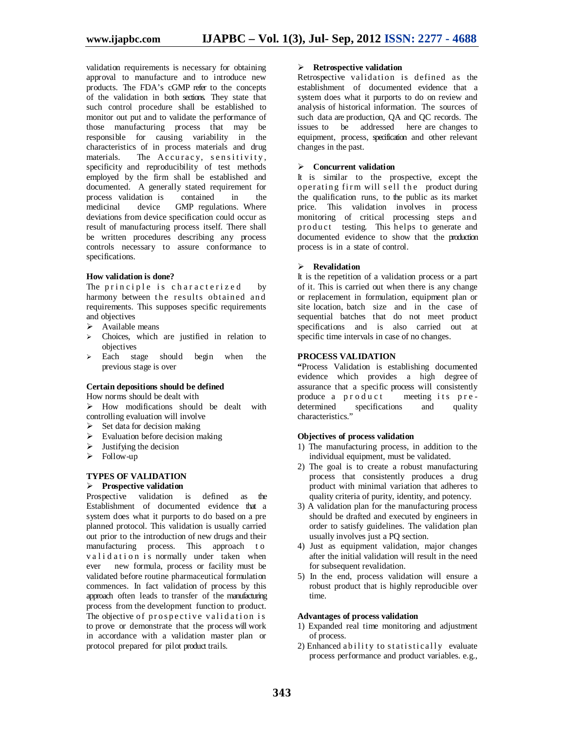validation requirements is necessary for obtaining approval to manufacture and to introduce new products. The FDA's cGMP refer to the concepts of the validation in both sections. They state that such control procedure shall be established to monitor out put and to validate the performance of those manufacturing process that may be responsible for causing variability in the characteristics of in process materials and drug The Accuracy, sensitivity, specificity and reproducibility of test methods employed by the firm shall be established and documented. A generally stated requirement for<br>process validation is contained in the process validation is contained in the medicinal device GMP regulations. Where deviations from device specification could occur as result of manufacturing process itself. There shall be written procedures describing any process controls necessary to assure conformance to specifications.

#### **How validation is done?**

The principle is characterized by harmony between the results obtained and requirements. This supposes specific requirements and objectives

- $\triangleright$  Available means
- Choices, which are justified in relation to objectives
- $\geq$  Each stage should begin when the previous stage is over

#### **Certain depositions should be defined**

How norms should be dealt with

 $\triangleright$  How modifications should be dealt with controlling evaluation will involve

- $\triangleright$  Set data for decision making
- $\triangleright$  Evaluation before decision making
- $\triangleright$  Justifying the decision
- $\triangleright$  Follow-up

## **TYPES OF VALIDATION**

## **Prospective validation**

Prospective validation is defined as the Establishment of documented evidence that a system does what it purports to do based on a pre planned protocol. This validation is usually carried out prior to the introduction of new drugs and their manufacturing process. This approach to validation is normally under taken when ever new formula, process or facility must be validated before routine pharmaceutical formulation commences. In fact validation of process by this approach often leads to transfer of the manufacturing process from the development function to product. The objective of prospective validation is to prove or demonstrate that the process will work in accordance with a validation master plan or protocol prepared for pilot product trails.

#### **Retrospective validation**

Retrospective validation is defined as the establishment of documented evidence that a system does what it purports to do on review and analysis of historical information. The sources of such data are production, QA and QC records. The issues to be addressed here are changes to equipment, process, specification and other relevant changes in the past.

#### **Concurrent validation**

It is similar to the prospective, except the operating firm will sell the product during the qualification runs, to the public as its market price. This validation involves in process monitoring of critical processing steps an d product testing. This helps to generate and documented evidence to show that the production process is in a state of control.

#### **Revalidation**

It is the repetition of a validation process or a part of it. This is carried out when there is any change or replacement in formulation, equipment plan or site location, batch size and in the case of sequential batches that do not meet product specifications and is also carried out at specific time intervals in case of no changes.

## **PROCESS VALIDATION**

**"**Process Validation is establishing documented evidence which provides a high degree of assurance that a specific process will consistently<br>produce a product meeting its preproduce a p r o d u c t determined specifications and quality characteristics."

#### **Objectives of process validation**

- 1) The manufacturing process, in addition to the individual equipment, must be validated.
- 2) The goal is to create a robust manufacturing process that consistently produces a drug product with minimal variation that adheres to quality criteria of purity, identity, and potency.
- 3) A validation plan for the manufacturing process should be drafted and executed by engineers in order to satisfy guidelines. The validation plan usually involves just a PQ section.
- 4) Just as equipment validation, major changes after the initial validation will result in the need for subsequent revalidation.
- 5) In the end, process validation will ensure a robust product that is highly reproducible over time.

#### **Advantages of process validation**

- 1) Expanded real time monitoring and adjustment of process.
- 2) Enhanced a bility to statistically evaluate process performance and product variables. e.g.,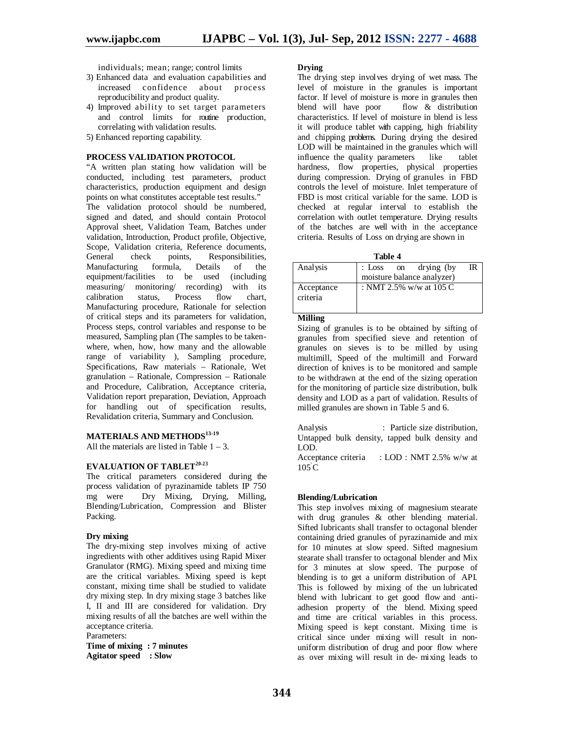individuals; mean; range; control limits

- 3) Enhanced data and evaluation capabilities and increased confidence about process reproducibility and product quality.
- 4) Improved ability to set target parameters and control limits for routine production, correlating with validation results.
- 5) Enhanced reporting capability.

#### **PROCESS VALIDATION PROTOCOL**

"A written plan stating how validation will be conducted, including test parameters, product characteristics, production equipment and design points on what constitutes acceptable test results." The validation protocol should be numbered, signed and dated, and should contain Protocol Approval sheet, Validation Team, Batches under validation, Introduction, Product profile, Objective, Scope, Validation criteria, Reference documents,<br>General check points, Responsibilities, General check points, Responsibilities,<br>
Manufacturing formula. Details of the Manufacturing formula, Details of the equipment/facilities to be used (including measuring/ monitoring/ recording) with its<br>calibration status. Process flow chart. calibration status, Process flow chart, Manufacturing procedure, Rationale for selection of critical steps and its parameters for validation, Process steps, control variables and response to be measured, Sampling plan (The samples to be takenwhere, when, how, how many and the allowable range of variability ), Sampling procedure, Specifications, Raw materials – Rationale, Wet granulation – Rationale, Compression – Rationale and Procedure, Calibration, Acceptance criteria, Validation report preparation, Deviation, Approach for handling out of specification results, Revalidation criteria, Summary and Conclusion.

#### **MATERIALS AND METHODS 13-19**

All the materials are listed in Table  $1 - 3$ .

## **EVALUATION OF TABLET 20-23**

The critical parameters considered during the process validation of pyrazinamide tablets IP 750 mg were Dry Mixing, Drying, Milling, Blending/Lubrication, Compression and Blister Packing.

#### **Dry mixing**

The dry-mixing step involves mixing of active ingredients with other additives using Rapid Mixer Granulator (RMG). Mixing speed and mixing time are the critical variables. Mixing speed is kept constant, mixing time shall be studied to validate dry mixing step. In dry mixing stage 3 batches like I, II and III are considered for validation. Dry mixing results of all the batches are well within the acceptance criteria. Parameters:

**Time of mixing : 7 minutes Agitator speed : Slow**

#### **Drying**

The drying step involves drying of wet mass. The level of moisture in the granules is important factor. If level of moisture is more in granules then<br>blend will have poor flow & distribution blend will have poor characteristics. If level of moisture in blend is less it will produce tablet with capping, high friability and chipping problems. During drying the desired LOD will be maintained in the granules which will<br>influence the quality parameters like tablet influence the quality parameters like tablet hardness, flow properties, physical properties during compression. Drying of granules in FBD controls the level of moisture. Inlet temperature of FBD is most critical variable for the same. LOD is checked at regular interval to establish the correlation with outlet temperature. Drying results of the batches are well with in the acceptance criteria. Results of Loss on drying are shown in

| anı |  |
|-----|--|
|-----|--|

|                        | .                                                        |    |
|------------------------|----------------------------------------------------------|----|
| Analysis               | : Loss<br>drying (by<br>on<br>moisture balance analyzer) | IR |
| Acceptance<br>criteria | : NMT 2.5% w/w at 105 C                                  |    |

#### **Milling**

Sizing of granules is to be obtained by sifting of granules from specified sieve and retention of granules on sieves is to be milled by using multimill, Speed of the multimill and Forward direction of knives is to be monitored and sample to be withdrawn at the end of the sizing operation for the monitoring of particle size distribution, bulk density and LOD as a part of validation. Results of milled granules are shown in Table 5 and 6.

Analysis : Particle size distribution, Untapped bulk density, tapped bulk density and LOD.

Acceptance criteria : LOD : NMT 2.5% w/w at  $105^{\circ}$ C

#### **Blending/Lubrication**

This step involves mixing of magnesium stearate with drug granules & other blending material. Sifted lubricants shall transfer to octagonal blender containing dried granules of pyrazinamide and mix for 10 minutes at slow speed. Sifted magnesium stearate shall transfer to octagonal blender and Mix for 3 minutes at slow speed. The purpose of blending is to get a uniform distribution of API. This is followed by mixing of the un lubricated blend with lubricant to get good flow and antiadhesion property of the blend. Mixing speed and time are critical variables in this process. Mixing speed is kept constant. Mixing time is critical since under mixing will result in nonuniform distribution of drug and poor flow where as over mixing will result in de- mixing leads to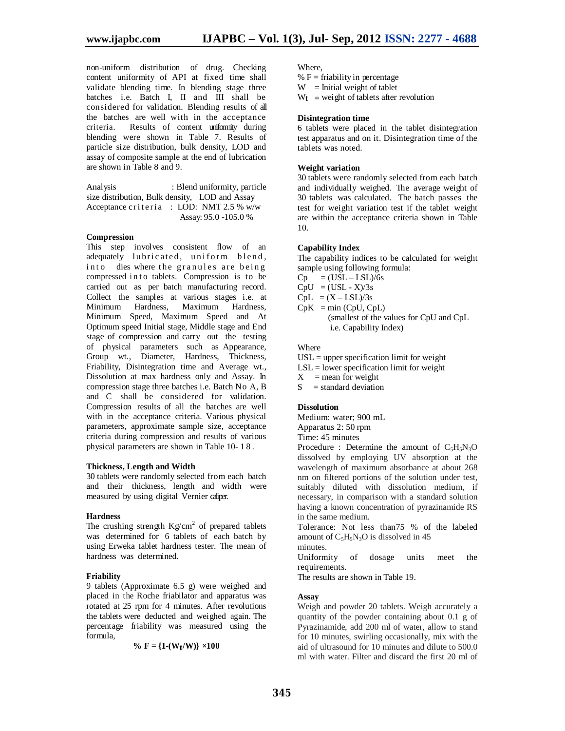non-uniform distribution of drug. Checking content uniformity of API at fixed time shall validate blending time. In blending stage three batches i.e. Batch I, II and III shall be considered for validation. Blending results of all the batches are well with in the acceptance criteria. Results of content uniformity during blending were shown in Table 7. Results of particle size distribution, bulk density, LOD and assay of composite sample at the end of lubrication are shown in Table 8 and 9.

Analysis : Blend uniformity, particle size distribution, Bulk density, LOD and Assay Acceptance criteria : LOD: NMT  $2.5\%$  w/w Assay: 95.0 -105.0 %

#### **Compression**

This step involves consistent flow of an adequately lubricated, uniform blend, into dies where the granules are being compressed in to tablets. Compression is to be carried out as per batch manufacturing record. Collect the samples at various stages i.e. at Minimum Hardness, Maximum Hardness, Minimum Speed, Maximum Speed and At Optimum speed Initial stage, Middle stage and End stage of compression and carry out the testing of physical parameters such as Appearance, Group wt., Diameter, Hardness, Thickness, Friability, Disintegration time and Average wt., Dissolution at max hardness only and Assay. In compression stage three batches i.e. Batch No A, B and C shall be considered for validation. Compression results of all the batches are well with in the acceptance criteria. Various physical parameters, approximate sample size, acceptance criteria during compression and results of various physical parameters are shown in Table 10- 1 8 .

#### **Thickness, Length and Width**

30 tablets were randomly selected from each batch and their thickness, length and width were measured by using digital Vernier caliper.

#### **Hardness**

The crushing strength  $Kg/cm^2$  of prepared tablets was determined for 6 tablets of each batch by using Erweka tablet hardness tester. The mean of hardness was determined.

#### **Friability**

9 tablets (Approximate 6.5 g) were weighed and placed in the Roche friabilator and apparatus was rotated at 25 rpm for 4 minutes. After revolutions the tablets were deducted and weighed again. The percentage friability was measured using the formula,

$$
\%\ F = \{1\text{-}(W_t/W)\} \times 100
$$

Where,

%  $F =$  friability in percentage

 $W =$  Initial weight of tablet

 $W_t$  = weight of tablets after revolution

#### **Disintegration time**

6 tablets were placed in the tablet disintegration test apparatus and on it. Disintegration time of the tablets was noted.

#### **Weight variation**

30 tablets were randomly selected from each batch and individually weighed. The average weight of 30 tablets was calculated. The batch passes the test for weight variation test if the tablet weight are within the acceptance criteria shown in Table 10.

#### **Capability Index**

The capability indices to be calculated for weight sample using following formula:

 $Cp = (USL - LSL)/6s$ 

 $CpU = (USL - X)/3s$ 

 $CpL = (X - LSL)/3s$ 

 $CpK = min (CpU, CpL)$  (smallest of the values for CpU and CpL i.e. Capability Index)

#### Where

 $USL =$  upper specification limit for weight

 $LSL =$  lower specification limit for weight

 $X$  = mean for weight

 $S =$ standard deviation

#### **Dissolution**

Medium: water; 900 mL Apparatus 2: 50 rpm

Time: 45 minutes

Procedure : Determine the amount of  $C_5H_5N_3O$ dissolved by employing UV absorption at the wavelength of maximum absorbance at about 268 nm on filtered portions of the solution under test, suitably diluted with dissolution medium, if necessary, in comparison with a standard solution having a known concentration of pyrazinamide RS in the same medium.

Tolerance: Not less than75 % of the labeled amount of  $C_5H_5N_3O$  is dissolved in 45

minutes.

Uniformity of dosage units meet the requirements.

The results are shown in Table 19.

#### **Assay**

Weigh and powder 20 tablets. Weigh accurately a quantity of the powder containing about 0.1 g of Pyrazinamide, add 200 ml of water, allow to stand for 10 minutes, swirling occasionally, mix with the aid of ultrasound for 10 minutes and dilute to 500.0 ml with water. Filter and discard the first 20 ml of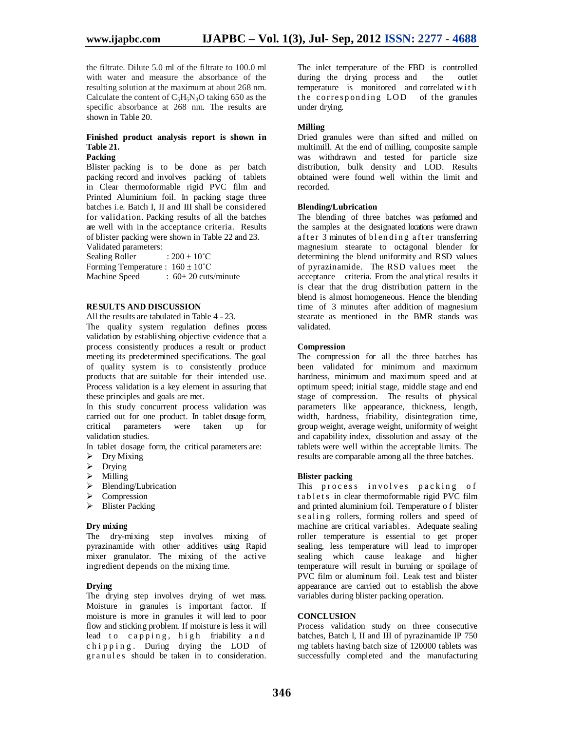the filtrate. Dilute 5.0 ml of the filtrate to 100.0 ml with water and measure the absorbance of the resulting solution at the maximum at about 268 nm. Calculate the content of  $C_5H_5N_3O$  taking 650 as the specific absorbance at 268 nm. The results are shown in Table 20.

## **Finished product analysis report is shown in Table 21.**

## **Packing**

Blister packing is to be done as per batch packing record and involves packing of tablets in Clear thermoformable rigid PVC film and Printed Aluminium foil. In packing stage three batches i.e. Batch I, II and III shall be considered for validation. Packing results of all the batches are well with in the acceptance criteria. Results of blister packing were shown in Table 22 and 23.

Validated parameters:<br>Sealing Roller  $\therefore 200 + 10^{\circ}C$ Sealing Roller Forming Temperature :  $160 \pm 10^{\circ}$ C<br>Machine Speed :  $60 \pm 20$  cuts  $\therefore$  60 $\pm$  20 cuts/minute

## **RESULTS AND DISCUSSION**

All the results are tabulated in Table 4 - 23.

The quality system regulation defines process validation by establishing objective evidence that a process consistently produces a result or product meeting its predetermined specifications. The goal of quality system is to consistently produce products that are suitable for their intended use. Process validation is a key element in assuring that these principles and goals are met.

In this study concurrent process validation was carried out for one product. In tablet dosage form, critical parameters were taken up for validation studies.

In tablet dosage form, the critical parameters are:

- $\triangleright$  Dry Mixing
- $\triangleright$  Drying
- $\triangleright$  Milling
- $\triangleright$  Blending/Lubrication
- > Compression
- > Blister Packing

#### **Dry mixing**

The dry-mixing step involves mixing of pyrazinamide with other additives using Rapid mixer granulator. The mixing of the active ingredient depends on the mixing time.

#### **Drying**

The drying step involves drying of wet mass. Moisture in granules is important factor. If moisture is more in granules it will lead to poor flow and sticking problem. If moisture is less it will lead to capping, high friability and chipping. During drying the LOD of granules should be taken in to consideration. The inlet temperature of the FBD is controlled during the drying process and the outlet temperature is monitored and correlated w i t h the corresponding LOD of the granules under drying.

#### **Milling**

Dried granules were than sifted and milled on multimill. At the end of milling, composite sample was withdrawn and tested for particle size distribution, bulk density and LOD. Results obtained were found well within the limit and recorded.

#### **Blending/Lubrication**

The blending of three batches was performed and the samples at the designated locations were drawn after 3 minutes of blending after transferring magnesium stearate to octagonal blender for determining the blend uniformity and RSD values of pyrazinamide. The RSD values meet the acceptance criteria. From the analytical results it is clear that the drug distribution pattern in the blend is almost homogeneous. Hence the blending time of 3 minutes after addition of magnesium stearate as mentioned in the BMR stands was validated.

#### **Compression**

The compression for all the three batches has been validated for minimum and maximum hardness, minimum and maximum speed and at optimum speed; initial stage, middle stage and end stage of compression. The results of physical parameters like appearance, thickness, length, width, hardness, friability, disintegration time, group weight, average weight, uniformity of weight and capability index, dissolution and assay of the tablets were well within the acceptable limits. The results are comparable among all the three batches.

#### **Blister packing**

This process involves packing of tablets in clear thermoformable rigid PVC film and printed aluminium foil. Temperature o f blister s e a ling rollers, forming rollers and speed of machine are critical variables. Adequate sealing roller temperature is essential to get proper sealing, less temperature will lead to improper sealing which cause leakage and higher temperature will result in burning or spoilage of PVC film or aluminum foil. Leak test and blister appearance are carried out to establish the above variables during blister packing operation.

## **CONCLUSION**

Process validation study on three consecutive batches, Batch I, II and III of pyrazinamide IP 750 mg tablets having batch size of 120000 tablets was successfully completed and the manufacturing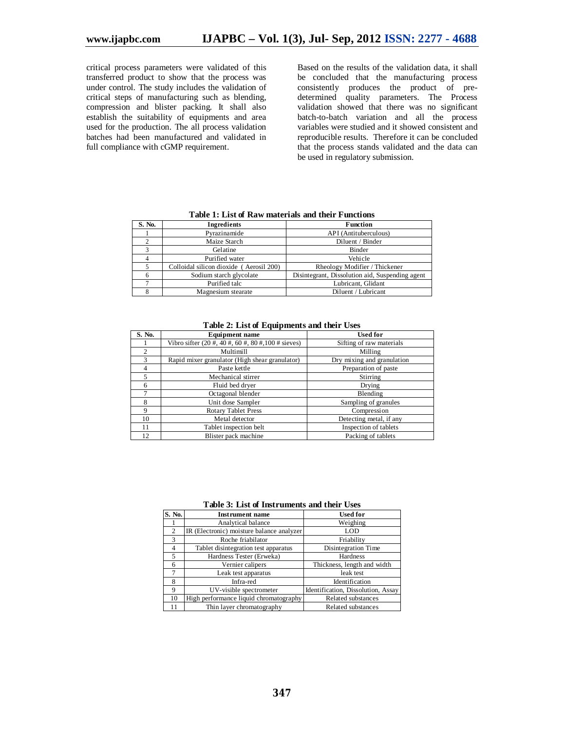critical process parameters were validated of this transferred product to show that the process was under control. The study includes the validation of critical steps of manufacturing such as blending, compression and blister packing. It shall also establish the suitability of equipments and area used for the production. The all process validation batches had been manufactured and validated in full compliance with cGMP requirement.

Based on the results of the validation data, it shall be concluded that the manufacturing process consistently produces the product of predetermined quality parameters. The Process validation showed that there was no significant batch-to-batch variation and all the process variables were studied and it showed consistent and reproducible results. Therefore it can be concluded that the process stands validated and the data can be used in regulatory submission.

| S. No. | Ingredients                             | <b>Function</b>                                 |  |
|--------|-----------------------------------------|-------------------------------------------------|--|
|        | Pyrazinamide                            | API (Antituberculous)                           |  |
|        | Maize Starch                            | Diluent / Binder                                |  |
|        | Gelatine                                | Binder                                          |  |
|        | Purified water                          | Vehicle                                         |  |
|        | Colloidal silicon dioxide (Aerosil 200) | Rheology Modifier / Thickener                   |  |
|        | Sodium starch glycolate                 | Disintegrant, Dissolution aid, Suspending agent |  |
|        | Purified talc                           | Lubricant, Glidant                              |  |
|        | Magnesium stearate                      | Diluent / Lubricant                             |  |

**Table 1: List of Raw materials and their Functions**

| Table 2: List of Equipments and their Uses |  |
|--------------------------------------------|--|
|--------------------------------------------|--|

| S. No.        | <b>Equipment name</b>                                      | <b>Used for</b>            |
|---------------|------------------------------------------------------------|----------------------------|
|               | Vibro sifter $(20 \#, 40 \#, 60 \#, 80 \#, 100 \#$ sieves) | Sifting of raw materials   |
| $\mathcal{L}$ | Multimill                                                  | Milling                    |
| $\mathcal{F}$ | Rapid mixer granulator (High shear granulator)             | Dry mixing and granulation |
| 4             | Paste kettle                                               | Preparation of paste       |
| 5             | Mechanical stirrer                                         | Stirring                   |
| 6             | Fluid bed dryer                                            | Drying                     |
|               | Octagonal blender                                          | Blending                   |
| 8             | Unit dose Sampler                                          | Sampling of granules       |
| 9             | <b>Rotary Tablet Press</b>                                 | Compression                |
| 10            | Metal detector                                             | Detecting metal, if any    |
| 11            | Tablet inspection belt                                     | Inspection of tablets      |
| 12            | Blister pack machine                                       | Packing of tablets         |

**Table 3: List of Instruments and their Uses**

| S. No.                   | <b>Instrument name</b>                    | <b>Used for</b>                    |
|--------------------------|-------------------------------------------|------------------------------------|
|                          | Analytical balance                        | Weighing                           |
| 2                        | IR (Electronic) moisture balance analyzer | LOD                                |
| $\mathcal{R}$            | Roche friabilator                         | Friability                         |
| 4                        | Tablet disintegration test apparatus      | Disintegration Time                |
| $\overline{\phantom{0}}$ | Hardness Tester (Erweka)                  | Hardness                           |
| 6                        | Vernier calipers                          | Thickness, length and width        |
|                          | Leak test apparatus                       | leak test                          |
| 8                        | Infra-red                                 | Identification                     |
| 9                        | UV-visible spectrometer                   | Identification, Dissolution, Assay |
| 10                       | High performance liquid chromatography    | Related substances                 |
| 11                       | Thin layer chromatography                 | Related substances                 |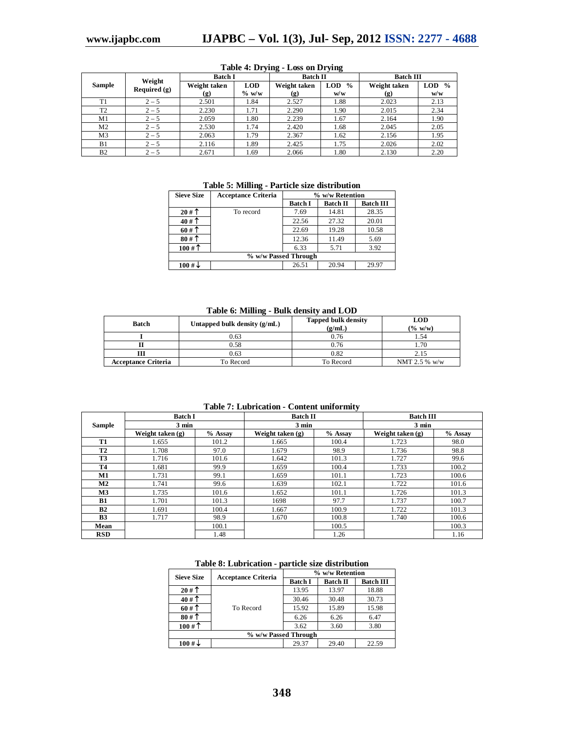| Weight         |                | <b>Batch I</b> |            | <b>Batch II</b>             |                             | <b>Batch III</b>            |                             |
|----------------|----------------|----------------|------------|-----------------------------|-----------------------------|-----------------------------|-----------------------------|
| <b>Sample</b>  | Required $(g)$ | Weight taken   | <b>LOD</b> | Weight taken                | <b>LOD</b><br>$\frac{0}{0}$ | Weight taken                | <b>LOD</b><br>$\frac{0}{0}$ |
|                |                | (g)            | $\%$ w/w   | $\left( \mathbf{g} \right)$ | w/w                         | $\left( \mathbf{g} \right)$ | w/w                         |
| T1             | $2 - 5$        | 2.501          | 1.84       | 2.527                       | 1.88                        | 2.023                       | 2.13                        |
| T <sub>2</sub> | $2 - 5$        | 2.230          | 1.71       | 2.290                       | 1.90                        | 2.015                       | 2.34                        |
| M <sub>1</sub> | $2 - 5$        | 2.059          | 1.80       | 2.239                       | 1.67                        | 2.164                       | 1.90                        |
| M <sub>2</sub> | $2 - 5$        | 2.530          | 1.74       | 2.420                       | 1.68                        | 2.045                       | 2.05                        |
| M <sub>3</sub> | $2 - 5$        | 2.063          | 1.79       | 2.367                       | 1.62                        | 2.156                       | 1.95                        |
| B1             | $2 - 5$        | 2.116          | 1.89       | 2.425                       | 1.75                        | 2.026                       | 2.02                        |
| B <sub>2</sub> | $2 - 5$        | 2.671          | 1.69       | 2.066                       | 1.80                        | 2.130                       | 2.20                        |

## **Table 4: Drying - Loss on Drying**

**Table 5: Milling - Particle size distribution**

| <b>Sieve Size</b>    | <b>Acceptance Criteria</b> | % w/w Retention |                 |                  |  |
|----------------------|----------------------------|-----------------|-----------------|------------------|--|
|                      |                            | <b>Batch I</b>  | <b>Batch II</b> | <b>Batch III</b> |  |
| 20#T                 | To record                  | 7.69            | 14.81           | 28.35            |  |
| $40#$ 1              |                            | 22.56           | 27.32           | 20.01            |  |
| 60#                  |                            | 22.69           | 19.28           | 10.58            |  |
| $80#$ 1              |                            | 12.36           | 11.49           | 5.69             |  |
| 100#                 |                            | 6.33            | 5.71            | 3.92             |  |
| % w/w Passed Through |                            |                 |                 |                  |  |
| $100 \# \downarrow$  |                            | 26.51           | 20.94           | 29.97            |  |

### **Table 6: Milling - Bulk density and LOD**

| Untapped bulk density (g/mL)<br><b>Batch</b> |           | <b>Tapped bulk density</b><br>(g/mL) | <b>LOD</b><br>(% w/w) |  |
|----------------------------------------------|-----------|--------------------------------------|-----------------------|--|
|                                              | 0.63      | 0.76                                 | 1.54                  |  |
| 0.58                                         |           | 0.76                                 | 1.70                  |  |
|                                              | 0.63      | 0.82                                 | 2.15                  |  |
| <b>Acceptance Criteria</b>                   | To Record | To Record                            | NMT 2.5 % $w/w$       |  |

| Table 7: Lubrication - Content uniformity |  |  |
|-------------------------------------------|--|--|
|-------------------------------------------|--|--|

|               | <b>Batch I</b>     |         | <b>Batch II</b><br>$3 \text{ min}$ |         | <b>Batch III</b><br>$3 \text{ min}$ |         |
|---------------|--------------------|---------|------------------------------------|---------|-------------------------------------|---------|
| <b>Sample</b> | $3 \text{ min}$    |         |                                    |         |                                     |         |
|               | Weight taken $(g)$ | % Assay | Weight taken (g)                   | % Assay | Weight taken $(g)$                  | % Assay |
| <b>T1</b>     | 1.655              | 101.2   | 1.665                              | 100.4   | 1.723                               | 98.0    |
| <b>T2</b>     | 1.708              | 97.0    | 1.679                              | 98.9    | 1.736                               | 98.8    |
| T3            | 1.716              | 101.6   | 1.642                              | 101.3   | 1.727                               | 99.6    |
| <b>T4</b>     | 1.681              | 99.9    | 1.659                              | 100.4   | 1.733                               | 100.2   |
| M1            | 1.731              | 99.1    | 1.659                              | 101.1   | 1.723                               | 100.6   |
| M2            | 1.741              | 99.6    | 1.639                              | 102.1   | 1.722                               | 101.6   |
| M3            | 1.735              | 101.6   | 1.652                              | 101.1   | 1.726                               | 101.3   |
| <b>B1</b>     | 1.701              | 101.3   | 1698                               | 97.7    | 1.737                               | 100.7   |
| B2            | 1.691              | 100.4   | 1.667                              | 100.9   | 1.722                               | 101.3   |
| <b>B3</b>     | 1.717              | 98.9    | 1.670                              | 100.8   | 1.740                               | 100.6   |
| Mean          |                    | 100.1   |                                    | 100.5   |                                     | 100.3   |
| <b>RSD</b>    |                    | 1.48    |                                    | 1.26    |                                     | 1.16    |

| <b>Sieve Size</b>     | <b>Acceptance Criteria</b> | % w/w Retention |                 |                  |  |
|-----------------------|----------------------------|-----------------|-----------------|------------------|--|
|                       |                            | <b>Batch I</b>  | <b>Batch II</b> | <b>Batch III</b> |  |
| 20#                   |                            | 13.95           | 13.97           | 18.88            |  |
| 40#                   |                            | 30.46           | 30.48           | 30.73            |  |
| 60#                   | To Record                  | 15.92           | 15.89           | 15.98            |  |
| 80#                   |                            | 6.26            | 6.26            | 6.47             |  |
| $100 \#$ <sup>1</sup> |                            | 3.62            | 3.60            | 3.80             |  |
| % w/w Passed Through  |                            |                 |                 |                  |  |
| $100 \# \downarrow$   |                            | 29.37           | 29.40           | 22.59            |  |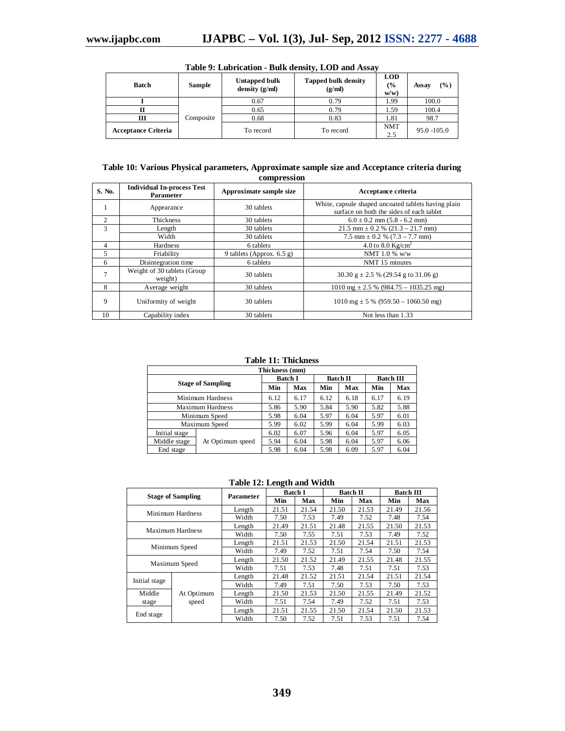| <b>Batch</b>               | <b>Sample</b> | Untapped bulk<br>density $(g/ml)$ | <b>Tapped bulk density</b><br>(g/ml) |                   | (9/0)<br>Assay |
|----------------------------|---------------|-----------------------------------|--------------------------------------|-------------------|----------------|
|                            |               | 0.67                              | 0.79                                 | 1.99              | 100.0          |
|                            |               | 0.65                              | 0.79                                 | 1.59              | 100.4          |
| ш                          | Composite     | 0.68                              | 0.83                                 | 1.81              | 98.7           |
| <b>Acceptance Criteria</b> | To record     |                                   | To record                            | <b>NMT</b><br>2.5 | $95.0 - 105.0$ |

**Table 9: Lubrication - Bulk density, LOD and Assay**

### **Table 10: Various Physical parameters, Approximate sample size and Acceptance criteria during compression**

| S. No.         | <b>Individual In-process Test</b><br>Parameter | Approximate sample size     | Acceptance criteria                                                                             |
|----------------|------------------------------------------------|-----------------------------|-------------------------------------------------------------------------------------------------|
|                | Appearance                                     | 30 tablets                  | White, capsule shaped uncoated tablets having plain<br>surface on both the sides of each tablet |
| 2              | <b>Thickness</b>                               | 30 tablets                  | $6.0 \pm 0.2$ mm $(5.8 - 6.2$ mm)                                                               |
| 3              | Length                                         | 30 tablets                  | $21.5$ mm $\pm$ 0.2 % (21.3 – 21.7 mm)                                                          |
|                | Width                                          | 30 tablets                  | $7.5$ mm $\pm$ 0.2 % (7.3 – 7.7 mm)                                                             |
| 4              | Hardness                                       | 6 tablets                   | 4.0 to 8.0 $Kg/cm^2$                                                                            |
| 5              | Friability                                     | 9 tablets (Approx. $6.5$ g) | NMT 1.0 % $w/w$                                                                                 |
| 6              | Disintegration time                            | 6 tablets                   | NMT 15 minutes                                                                                  |
| $\overline{7}$ | Weight of 30 tablets (Group)<br>weight)        | 30 tablets                  | 30.30 g $\pm$ 2.5 % (29.54 g to 31.06 g)                                                        |
| 8              | Average weight                                 | 30 tablets                  | $1010 \text{ mg} \pm 2.5$ % (984.75 - 1035.25 mg)                                               |
| 9              | Uniformity of weight                           | 30 tablets                  | $1010 \text{ mg} \pm 5 \% (959.50 - 1060.50 \text{ mg})$                                        |
| 10             | Capability index                               | 30 tablets                  | Not less than 1.33                                                                              |

**Table 11: Thickness**

| Thickness (mm)           |                  |                |      |      |                 |                  |      |  |  |  |
|--------------------------|------------------|----------------|------|------|-----------------|------------------|------|--|--|--|
|                          |                  | <b>Batch I</b> |      |      | <b>Batch II</b> | <b>Batch III</b> |      |  |  |  |
| <b>Stage of Sampling</b> |                  | Min            | Max  | Min  | Max             | Min              | Max  |  |  |  |
| Minimum Hardness         |                  | 6.12           | 6.17 | 6.12 | 6.18            | 6.17             | 6.19 |  |  |  |
| Maximum Hardness         |                  | 5.86           | 5.90 | 5.84 | 5.90            | 5.82             | 5.88 |  |  |  |
|                          | Minimum Speed    | 5.98           | 6.04 | 5.97 | 6.04            | 5.97             | 6.01 |  |  |  |
|                          | Maximum Speed    | 5.99           | 6.02 | 5.99 | 6.04            | 5.99             | 6.03 |  |  |  |
| Initial stage            |                  | 6.02           | 6.07 | 5.96 | 6.04            | 5.97             | 6.05 |  |  |  |
| Middle stage             | At Optimum speed | 5.94           | 6.04 | 5.98 | 6.04            | 5.97             | 6.06 |  |  |  |
| End stage                |                  | 5.98           | 6.04 | 5.98 | 6.09            | 5.97             | 6.04 |  |  |  |

## **Table 12: Length and Width**

|                          |                  | Parameter | <b>Batch I</b> |       | <b>Batch II</b> |       | <b>Batch III</b> |       |
|--------------------------|------------------|-----------|----------------|-------|-----------------|-------|------------------|-------|
| <b>Stage of Sampling</b> |                  |           | Min            | Max   | Min             | Max   | Min              | Max   |
|                          | Minimum Hardness | Length    | 21.51          | 21.54 | 21.50           | 21.53 | 21.49            | 21.56 |
|                          |                  | Width     | 7.50           | 7.53  | 7.49            | 7.52  | 7.48             | 7.54  |
|                          | Maximum Hardness | Length    | 21.49          | 21.51 | 21.48           | 21.55 | 21.50            | 21.53 |
|                          |                  | Width     | 7.50           | 7.55  | 7.51            | 7.53  | 7.49             | 7.52  |
| Minimum Speed            |                  | Length    | 21.51          | 21.53 | 21.50           | 21.54 | 21.51            | 21.53 |
|                          |                  | Width     | 7.49           | 7.52  | 7.51            | 7.54  | 7.50             | 7.54  |
|                          |                  | Length    | 21.50          | 21.52 | 21.49           | 21.55 | 21.48            | 21.55 |
|                          | Maximum Speed    | Width     | 7.51           | 7.53  | 7.48            | 7.51  | 7.51             | 7.53  |
| Initial stage            |                  | Length    | 21.48          | 21.52 | 21.51           | 21.54 | 21.51            | 21.54 |
|                          |                  | Width     | 7.49           | 7.51  | 7.50            | 7.53  | 7.50             | 7.53  |
| Middle                   | At Optimum       |           | 21.50          | 21.53 | 21.50           | 21.55 | 21.49            | 21.52 |
| stage                    | speed            | Width     | 7.51           | 7.54  | 7.49            | 7.52  | 7.51             | 7.53  |
|                          |                  | Length    | 21.51          | 21.55 | 21.50           | 21.54 | 21.50            | 21.53 |
| End stage                |                  | Width     | 7.50           | 7.52  | 7.51            | 7.53  | 7.51             | 7.54  |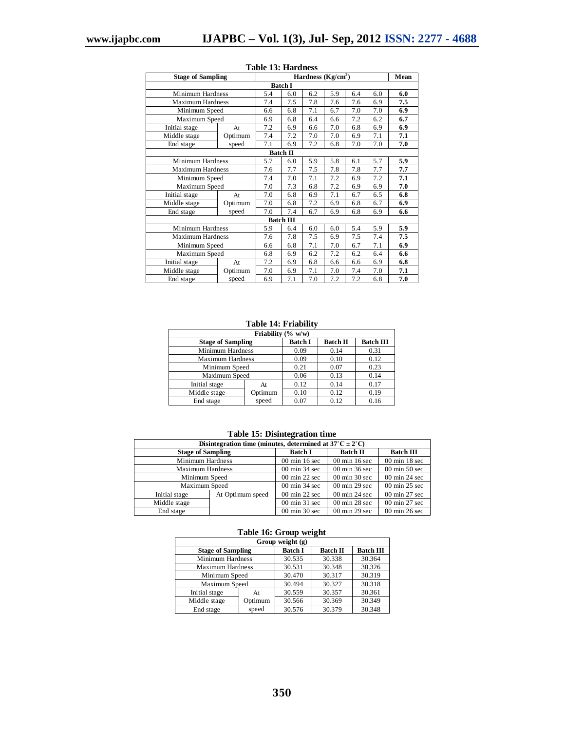| <b>Stage of Sampling</b> |                 |     |                  |     | Hardness $(Kg/cm2)$ |     |     | Mean |  |
|--------------------------|-----------------|-----|------------------|-----|---------------------|-----|-----|------|--|
| <b>Batch I</b>           |                 |     |                  |     |                     |     |     |      |  |
| Minimum Hardness         |                 | 5.4 | 6.0              | 6.2 | 5.9                 | 6.4 | 6.0 | 6.0  |  |
| <b>Maximum Hardness</b>  |                 | 7.4 | 7.5              | 7.8 | 7.6                 | 7.6 | 6.9 | 7.5  |  |
| Minimum Speed            |                 | 6.6 | 6.8              | 7.1 | 6.7                 | 7.0 | 7.0 | 6.9  |  |
| Maximum Speed            |                 | 6.9 | 6.8              | 6.4 | 6.6                 | 7.2 | 6.2 | 6.7  |  |
| Initial stage            | At              | 7.2 | 6.9              | 6.6 | 7.0                 | 6.8 | 6.9 | 6.9  |  |
| Middle stage             | Optimum         | 7.4 | 7.2              | 7.0 | 7.0                 | 6.9 | 7.1 | 7.1  |  |
| End stage                | speed           | 7.1 | 6.9              | 7.2 | 6.8                 | 7.0 | 7.0 | 7.0  |  |
|                          | <b>Batch II</b> |     |                  |     |                     |     |     |      |  |
| Minimum Hardness         |                 | 5.7 | 6.0              | 5.9 | 5.8                 | 6.1 | 5.7 | 5.9  |  |
| <b>Maximum Hardness</b>  |                 | 7.6 | 7.7              | 7.5 | 7.8                 | 7.8 | 7.7 | 7.7  |  |
| Minimum Speed            |                 | 7.4 | 7.0              | 7.1 | 7.2                 | 6.9 | 7.2 | 7.1  |  |
| Maximum Speed            |                 | 7.0 | 7.3              | 6.8 | 7.2                 | 6.9 | 6.9 | 7.0  |  |
| Initial stage            | At              | 7.0 | 6.8              | 6.9 | 7.1                 | 6.7 | 6.5 | 6.8  |  |
| Middle stage             | Optimum         | 7.0 | 6.8              | 7.2 | 6.9                 | 6.8 | 6.7 | 6.9  |  |
| End stage                | speed           | 7.0 | 7.4              | 6.7 | 6.9                 | 6.8 | 6.9 | 6.6  |  |
|                          |                 |     | <b>Batch III</b> |     |                     |     |     |      |  |
| Minimum Hardness         |                 | 5.9 | 6.4              | 6.0 | 6.0                 | 5.4 | 5.9 | 5.9  |  |
| <b>Maximum Hardness</b>  |                 | 7.6 | 7.8              | 7.5 | 6.9                 | 7.5 | 7.4 | 7.5  |  |
| Minimum Speed            |                 | 6.6 | 6.8              | 7.1 | 7.0                 | 6.7 | 7.1 | 6.9  |  |
| Maximum Speed            |                 | 6.8 | 6.9              | 6.2 | 7.2                 | 6.2 | 6.4 | 6.6  |  |
| Initial stage<br>At      |                 | 7.2 | 6.9              | 6.8 | 6.6                 | 6.6 | 6.9 | 6.8  |  |
| Middle stage             | Optimum         | 7.0 | 6.9              | 7.1 | 7.0                 | 7.4 | 7.0 | 7.1  |  |
| End stage                | speed           | 6.9 | 7.1              | 7.0 | 7.2                 | 7.2 | 6.8 | 7.0  |  |

## **Table 13: Hardness**

### **Table 14: Friability**

| Friability (% w/w)       |                |                 |                  |      |  |  |  |  |  |  |
|--------------------------|----------------|-----------------|------------------|------|--|--|--|--|--|--|
| <b>Stage of Sampling</b> | <b>Batch I</b> | <b>Batch II</b> | <b>Batch III</b> |      |  |  |  |  |  |  |
| Minimum Hardness         |                | 0.09            | 0.14             | 0.31 |  |  |  |  |  |  |
| Maximum Hardness         | 0.09           | 0.10            | 0.12             |      |  |  |  |  |  |  |
| Minimum Speed            | 0.21           | 0.07            | 0.23             |      |  |  |  |  |  |  |
| Maximum Speed            |                | 0.06            | 0.13             | 0.14 |  |  |  |  |  |  |
| Initial stage            | At             |                 | 0.14             | 0.17 |  |  |  |  |  |  |
| Middle stage<br>Optimum  |                | 0.10            | 0.12             | 0.19 |  |  |  |  |  |  |
| speed<br>End stage       |                | 0.07            | 0.12             | 0.16 |  |  |  |  |  |  |

### **Table 15: Disintegration time**

| Disintegration time (minutes, determined at $37^{\circ}$ C $\pm$ 2 $^{\circ}$ C) |                  |                                  |                                  |                                  |  |  |  |  |  |
|----------------------------------------------------------------------------------|------------------|----------------------------------|----------------------------------|----------------------------------|--|--|--|--|--|
| <b>Stage of Sampling</b>                                                         |                  | <b>Batch I</b>                   | <b>Batch II</b>                  | <b>Batch III</b>                 |  |  |  |  |  |
|                                                                                  | Minimum Hardness |                                  | $00 \text{ min } 16 \text{ sec}$ | $00 \text{ min } 18 \text{ sec}$ |  |  |  |  |  |
| <b>Maximum Hardness</b>                                                          |                  | $00 \text{ min } 34 \text{ sec}$ | $00 \text{ min } 36 \text{ sec}$ | $00 \text{ min } 50 \text{ sec}$ |  |  |  |  |  |
|                                                                                  | Minimum Speed    |                                  | $00 \text{ min } 30 \text{ sec}$ | $00 \text{ min } 24 \text{ sec}$ |  |  |  |  |  |
| Maximum Speed                                                                    |                  | $00 \text{ min } 34 \text{ sec}$ | $00 \text{ min } 29 \text{ sec}$ | $00 \text{ min } 25 \text{ sec}$ |  |  |  |  |  |
| Initial stage                                                                    | At Optimum speed | $00 \text{ min } 22 \text{ sec}$ | $00 \text{ min } 24 \text{ sec}$ | $00 \text{ min } 27 \text{ sec}$ |  |  |  |  |  |
| Middle stage                                                                     |                  | $00 \text{ min } 31 \text{ sec}$ | $00 \text{ min } 28 \text{ sec}$ | $00 \text{ min } 27 \text{ sec}$ |  |  |  |  |  |
| End stage                                                                        |                  | $00 \text{ min } 30 \text{ sec}$ | $00 \text{ min } 29 \text{ sec}$ | $00 \text{ min } 26 \text{ sec}$ |  |  |  |  |  |

| Tuble for oroup weight   |                  |                |                 |                  |  |  |  |  |  |
|--------------------------|------------------|----------------|-----------------|------------------|--|--|--|--|--|
| Group weight (g)         |                  |                |                 |                  |  |  |  |  |  |
| <b>Stage of Sampling</b> |                  | <b>Batch I</b> | <b>Batch II</b> | <b>Batch III</b> |  |  |  |  |  |
|                          | Minimum Hardness |                | 30.338          | 30.364           |  |  |  |  |  |
| Maximum Hardness         |                  | 30.531         | 30.348          | 30.326           |  |  |  |  |  |
| Minimum Speed            |                  | 30.470         | 30.317          | 30.319           |  |  |  |  |  |
| Maximum Speed            |                  | 30.494         | 30.327          | 30.318           |  |  |  |  |  |
| Initial stage            | At               | 30.559         | 30.357          | 30.361           |  |  |  |  |  |
| Middle stage             | Optimum          | 30.566         | 30.369          | 30.349           |  |  |  |  |  |
| End stage                | speed            |                | 30.379          | 30.348           |  |  |  |  |  |

#### **Table 16: Group weight**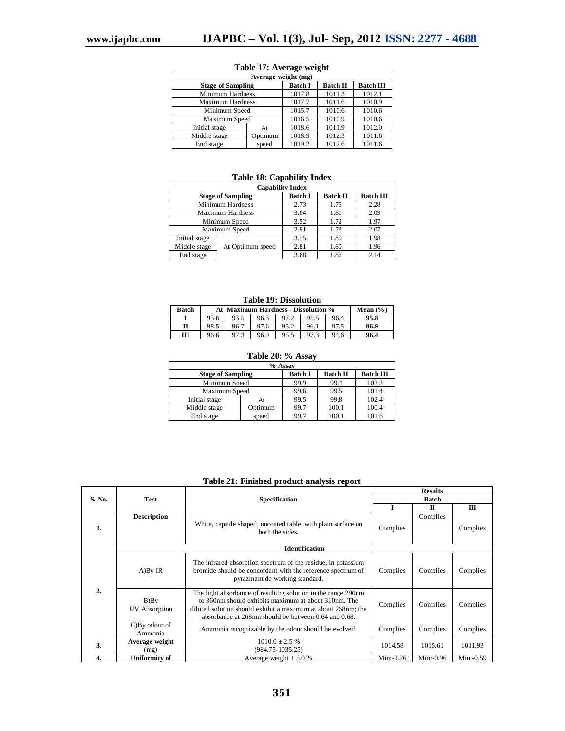| Average weight (mg)      |                         |                 |                  |        |  |  |  |  |  |
|--------------------------|-------------------------|-----------------|------------------|--------|--|--|--|--|--|
| <b>Stage of Sampling</b> | <b>Batch I</b>          | <b>Batch II</b> | <b>Batch III</b> |        |  |  |  |  |  |
|                          | <b>Minimum Hardness</b> |                 | 1011.3           | 1012.1 |  |  |  |  |  |
| <b>Maximum Hardness</b>  | 1017.7                  | 1011.6          | 1010.9           |        |  |  |  |  |  |
|                          | Minimum Speed           |                 | 1010.6           | 1010.6 |  |  |  |  |  |
| Maximum Speed            |                         | 1016.5          | 1010.9           | 1010.6 |  |  |  |  |  |
| Initial stage            | At                      | 1018.6          | 1011.9           | 1012.0 |  |  |  |  |  |
| Middle stage             | Optimum                 |                 | 1012.3           | 1011.6 |  |  |  |  |  |
| speed<br>End stage       |                         | 1019.2          | 1012.6           | 1011.6 |  |  |  |  |  |

## **Table 17: Average weight**

### **Table 18: Capability Index**

| <b>Capability Index</b> |                          |                |                 |                  |  |  |  |  |  |
|-------------------------|--------------------------|----------------|-----------------|------------------|--|--|--|--|--|
|                         | <b>Stage of Sampling</b> | <b>Batch I</b> | <b>Batch II</b> | <b>Batch III</b> |  |  |  |  |  |
|                         | Minimum Hardness         | 2.73           | 1.75            | 2.28             |  |  |  |  |  |
|                         | <b>Maximum Hardness</b>  | 3.04           | 1.81            | 2.09             |  |  |  |  |  |
|                         | Minimum Speed            | 3.52           | 1.72            | 1.97             |  |  |  |  |  |
|                         | Maximum Speed            | 2.91           | 1.73            | 2.07             |  |  |  |  |  |
| Initial stage           |                          | 3.15           | 1.80            | 1.98             |  |  |  |  |  |
| Middle stage            | At Optimum speed         | 2.81           | 1.80            | 1.96             |  |  |  |  |  |
| End stage               |                          | 3.68           | 1.87            | 2.14             |  |  |  |  |  |

### **Table 19: Dissolution**

| Batch | At Maximum Hardness - Dissolution % | Mean $(\% )$ |      |      |      |      |      |
|-------|-------------------------------------|--------------|------|------|------|------|------|
|       | 95.6                                | 96.3<br>96.4 |      |      |      |      |      |
|       | 98.5                                | 96.7         | 97.6 | 95.2 | 96.1 |      | 96.9 |
| ш     | 96.6                                |              | 96.9 | 95.5 |      | 94.6 | 96.4 |

## **Table 20: % Assay**

| % Assay                  |         |                |                 |                  |  |  |  |  |
|--------------------------|---------|----------------|-----------------|------------------|--|--|--|--|
| <b>Stage of Sampling</b> |         | <b>Batch I</b> | <b>Batch II</b> | <b>Batch III</b> |  |  |  |  |
| Minimum Speed            | 99.9    | 99.4           | 102.3           |                  |  |  |  |  |
| Maximum Speed            |         | 99.6           | 99.5            | 101.4            |  |  |  |  |
| Initial stage            | At      | 99.5           | 99.8            | 102.4            |  |  |  |  |
| Middle stage             | Optimum | 99.7           | 100.1           | 100.4            |  |  |  |  |
| End stage                | speed   | 99.7           | 100.1           | 101.6            |  |  |  |  |

### **Table 21: Finished product analysis report**

|                |                             |                                                                                                                                                                                                                                                | <b>Results</b> |              |            |  |  |  |  |
|----------------|-----------------------------|------------------------------------------------------------------------------------------------------------------------------------------------------------------------------------------------------------------------------------------------|----------------|--------------|------------|--|--|--|--|
| S. No.         | <b>Test</b>                 | <b>Specification</b>                                                                                                                                                                                                                           | <b>Batch</b>   |              |            |  |  |  |  |
|                |                             |                                                                                                                                                                                                                                                | I              | $\mathbf{H}$ | Ш          |  |  |  |  |
| 1.             | <b>Description</b>          | White, capsule shaped, uncoated tablet with plain surface on<br>both the sides.                                                                                                                                                                | Complies       | Complies     | Complies   |  |  |  |  |
|                | <b>Identification</b>       |                                                                                                                                                                                                                                                |                |              |            |  |  |  |  |
| $\overline{2}$ | A)By IR                     | The infrared absorption spectrum of the residue, in potassium<br>bromide should be concordant with the reference spectrum of<br>pyrazinamide working standard.                                                                                 | Complies       | Complies     | Complies   |  |  |  |  |
|                | B)By<br>UV Absorption       | The light absorbance of resulting solution in the range 290nm<br>to 360nm should exhibits maximum at about 310nm. The<br>diluted solution should exhibit a maximum at about 268nm; the<br>absorbance at 268nm should be between 0.64 and 0.68. | Complies       | Complies     | Complies   |  |  |  |  |
|                | $C$ )By odour of<br>Ammonia | Ammonia recognizable by the odour should be evolved.                                                                                                                                                                                           | Complies       | Complies     | Complies   |  |  |  |  |
| 3.             | Average weight<br>(mg)      | $1010.0 \pm 2.5$ %<br>1014.58<br>$(984.75 - 1035.25)$                                                                                                                                                                                          |                | 1015.61      | 1011.93    |  |  |  |  |
| 4.             | Uniformity of               | Average weight $\pm$ 5.0 %                                                                                                                                                                                                                     | Min: $-0.76$   | Min:-0.96    | Min: -0.59 |  |  |  |  |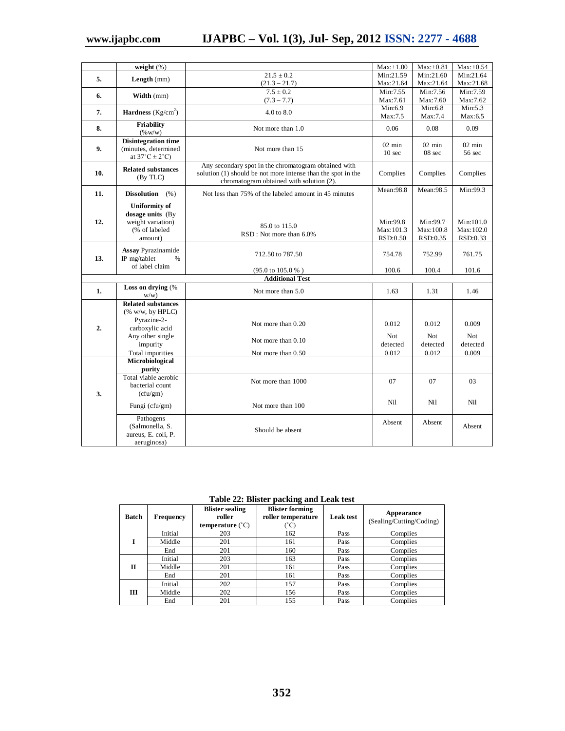|     | weight $(\% )$                                                                                                                         |                                                                                                                                                                  | $Max: +1.00$                          | $Max: +0.81$                      | $Max: +0.54$                             |
|-----|----------------------------------------------------------------------------------------------------------------------------------------|------------------------------------------------------------------------------------------------------------------------------------------------------------------|---------------------------------------|-----------------------------------|------------------------------------------|
| 5.  | Length (mm)                                                                                                                            | $21.5 \pm 0.2$                                                                                                                                                   | Min:21.59                             | Min:21.60                         | Min:21.64                                |
|     |                                                                                                                                        | $(21.3 - 21.7)$                                                                                                                                                  | Max:21.64                             | Max:21.64                         | Max:21.68                                |
| 6.  |                                                                                                                                        | $7.5 \pm 0.2$                                                                                                                                                    | Min:7.55                              | Min:7.56                          | Min:7.59                                 |
|     | Width (mm)                                                                                                                             | $(7.3 - 7.7)$                                                                                                                                                    | Max:7.61                              | Max: 7.60                         | Max:7.62                                 |
| 7.  | <b>Hardness</b> ( $Kg/cm2$ )                                                                                                           | $4.0 \text{ to } 8.0$                                                                                                                                            | Min:6.9                               | Min:6.8                           | Min:5.3                                  |
|     |                                                                                                                                        |                                                                                                                                                                  | Max:7.5                               | Max:7.4                           | Max: 6.5                                 |
| 8.  | Friability<br>$(\% w/w)$                                                                                                               | Not more than 1.0                                                                                                                                                | 0.06                                  | 0.08                              | 0.09                                     |
| 9.  | <b>Disintegration time</b><br>(minutes, determined<br>at $37^{\circ}$ C $\pm$ 2 $^{\circ}$ C)                                          | Not more than 15                                                                                                                                                 | $02 \text{ min}$<br>10 <sub>sec</sub> | $02 \text{ min}$<br>08 sec        | $02 \text{ min}$<br>56 sec               |
| 10. | <b>Related substances</b><br>(By TLC)                                                                                                  | Any secondary spot in the chromatogram obtained with<br>solution (1) should be not more intense than the spot in the<br>chromatogram obtained with solution (2). | Complies                              | Complies                          | Complies                                 |
| 11. | <b>Dissolution</b><br>(% )                                                                                                             | Not less than 75% of the labeled amount in 45 minutes                                                                                                            | Mean: 98.8                            | Mean: 98.5                        | Min:99.3                                 |
| 12. | <b>Uniformity of</b><br>dosage units (By<br>weight variation)<br>(% of labeled<br>amount)                                              | 85.0 to 115.0<br>RSD: Not more than 6.0%                                                                                                                         | Min:99.8<br>Max:101.3<br>RSD:0.50     | Min:99.7<br>Max:100.8<br>RSD:0.35 | Min:101.0<br>Max:102.0<br>RSD:0.33       |
| 13. | <b>Assay Pyrazinamide</b><br>712.50 to 787.50<br>IP mg/tablet<br>$\%$<br>of label claim<br>(95.0 to 105.0 %)                           |                                                                                                                                                                  | 754.78<br>100.6                       | 752.99<br>100.4                   | 761.75<br>101.6                          |
|     |                                                                                                                                        | <b>Additional Test</b>                                                                                                                                           |                                       |                                   |                                          |
| 1.  | Loss on drying (%<br>W(W)                                                                                                              | 1.63                                                                                                                                                             | 1.31                                  | 1.46                              |                                          |
| 2.  | <b>Related substances</b><br>$(\% w/w, bv$ HPLC)<br>Pyrazine-2-<br>carboxylic acid<br>Any other single<br>impurity<br>Total impurities | Not more than 0.20<br>Not more than 0.10<br>Not more than 0.50                                                                                                   | 0.012<br>Not<br>detected<br>0.012     | 0.012<br>Not<br>detected<br>0.012 | 0.009<br><b>Not</b><br>detected<br>0.009 |
|     | Microbiological                                                                                                                        |                                                                                                                                                                  |                                       |                                   |                                          |
|     | purity                                                                                                                                 |                                                                                                                                                                  |                                       |                                   |                                          |
| 3.  | Total viable aerobic<br>bacterial count<br>(cfu/gm)                                                                                    | Not more than 1000                                                                                                                                               | 07                                    | 07                                | 03                                       |
|     | Fungi (cfu/gm)                                                                                                                         | Not more than 100                                                                                                                                                | Nil                                   | Ni1                               | Nil                                      |
|     | Pathogens<br>(Salmonella, S.<br>aureus, E. coli, P.<br>aeruginosa)                                                                     | Should be absent                                                                                                                                                 | Absent                                | Absent                            | Absent                                   |

## **Table 22: Blister packing and Leak test**

| <b>Batch</b> | Frequency | <b>Blister sealing</b><br>roller<br>temperature $(^{\circ}C)$ | <b>Blister forming</b><br>roller temperature | <b>Leak test</b> | Appearance<br>(Sealing/Cutting/Coding) |
|--------------|-----------|---------------------------------------------------------------|----------------------------------------------|------------------|----------------------------------------|
|              | Initial   | 203                                                           | 162                                          | Pass             | Complies                               |
|              | Middle    | 201                                                           | 161                                          | Pass             | Complies                               |
|              | End       | 201                                                           | 160                                          | Pass             | Complies                               |
|              | Initial   | 203                                                           | 163                                          | Pass             | Complies                               |
| П            | Middle    | 201                                                           | 161                                          | Pass             | Complies                               |
|              | End       | 201                                                           | 161                                          | Pass             | Complies                               |
|              | Initial   | 202                                                           | 157                                          | Pass             | Complies                               |
| Ш            | Middle    | 202                                                           | 156                                          | Pass             | Complies                               |
|              | End       | 201                                                           | 155                                          | Pass             | Complies                               |